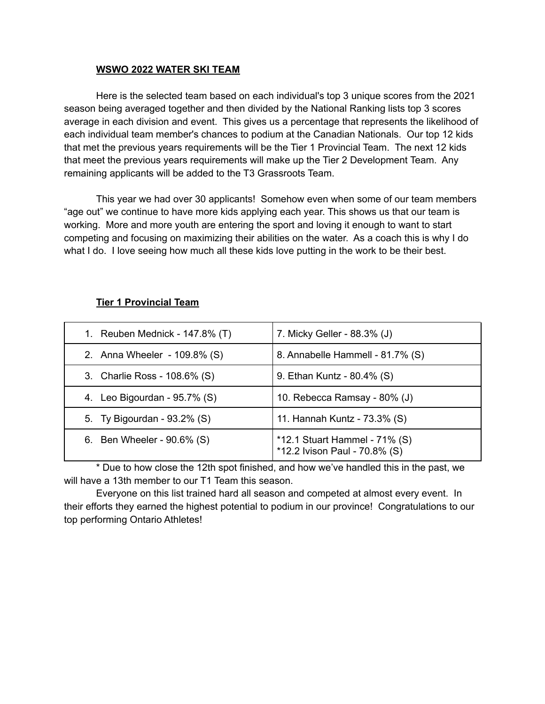## **WSWO 2022 WATER SKI TEAM**

Here is the selected team based on each individual's top 3 unique scores from the 2021 season being averaged together and then divided by the National Ranking lists top 3 scores average in each division and event. This gives us a percentage that represents the likelihood of each individual team member's chances to podium at the Canadian Nationals. Our top 12 kids that met the previous years requirements will be the Tier 1 Provincial Team. The next 12 kids that meet the previous years requirements will make up the Tier 2 Development Team. Any remaining applicants will be added to the T3 Grassroots Team.

This year we had over 30 applicants! Somehow even when some of our team members "age out" we continue to have more kids applying each year. This shows us that our team is working. More and more youth are entering the sport and loving it enough to want to start competing and focusing on maximizing their abilities on the water. As a coach this is why I do what I do. I love seeing how much all these kids love putting in the work to be their best.

| 1. Reuben Mednick - 147.8% (T)  | 7. Micky Geller - 88.3% (J)                                       |
|---------------------------------|-------------------------------------------------------------------|
| 2. Anna Wheeler - 109.8% (S)    | 8. Annabelle Hammell - 81.7% (S)                                  |
| 3. Charlie Ross - 108.6% (S)    | 9. Ethan Kuntz - 80.4% (S)                                        |
| 4. Leo Bigourdan - $95.7\%$ (S) | 10. Rebecca Ramsay - 80% (J)                                      |
| 5. Ty Bigourdan - 93.2% (S)     | 11. Hannah Kuntz - 73.3% (S)                                      |
| 6. Ben Wheeler - 90.6% (S)      | *12.1 Stuart Hammel - $71\%$ (S)<br>*12.2 Ivison Paul - 70.8% (S) |

## **Tier 1 Provincial Team**

\* Due to how close the 12th spot finished, and how we've handled this in the past, we will have a 13th member to our T1 Team this season.

Everyone on this list trained hard all season and competed at almost every event. In their efforts they earned the highest potential to podium in our province! Congratulations to our top performing Ontario Athletes!